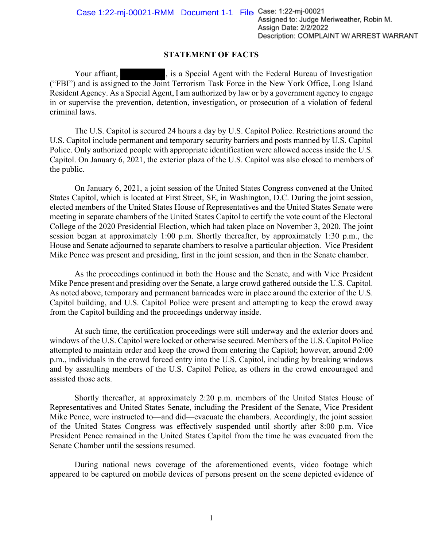Description: COMPLAINT W/ ARREST WARRANT

## **STATEMENT OF FACTS**

Your affiant,  $\overline{\phantom{a}}$ , is a Special Agent with the Federal Bureau of Investigation ("FBI") and is assigned to the Joint Terrorism Task Force in the New York Office, Long Island Resident Agency. As a Special Agent, I am authorized by law or by a government agency to engage in or supervise the prevention, detention, investigation, or prosecution of a violation of federal criminal laws.

The U.S. Capitol is secured 24 hours a day by U.S. Capitol Police. Restrictions around the U.S. Capitol include permanent and temporary security barriers and posts manned by U.S. Capitol Police. Only authorized people with appropriate identification were allowed access inside the U.S. Capitol. On January 6, 2021, the exterior plaza of the U.S. Capitol was also closed to members of the public.

On January 6, 2021, a joint session of the United States Congress convened at the United States Capitol, which is located at First Street, SE, in Washington, D.C. During the joint session, elected members of the United States House of Representatives and the United States Senate were meeting in separate chambers of the United States Capitol to certify the vote count of the Electoral College of the 2020 Presidential Election, which had taken place on November 3, 2020. The joint session began at approximately 1:00 p.m. Shortly thereafter, by approximately 1:30 p.m., the House and Senate adjourned to separate chambers to resolve a particular objection. Vice President Mike Pence was present and presiding, first in the joint session, and then in the Senate chamber.

As the proceedings continued in both the House and the Senate, and with Vice President Mike Pence present and presiding over the Senate, a large crowd gathered outside the U.S. Capitol. As noted above, temporary and permanent barricades were in place around the exterior of the U.S. Capitol building, and U.S. Capitol Police were present and attempting to keep the crowd away from the Capitol building and the proceedings underway inside.

At such time, the certification proceedings were still underway and the exterior doors and windows of the U.S. Capitol were locked or otherwise secured. Members of the U.S. Capitol Police attempted to maintain order and keep the crowd from entering the Capitol; however, around 2:00 p.m., individuals in the crowd forced entry into the U.S. Capitol, including by breaking windows and by assaulting members of the U.S. Capitol Police, as others in the crowd encouraged and assisted those acts.

Shortly thereafter, at approximately 2:20 p.m. members of the United States House of Representatives and United States Senate, including the President of the Senate, Vice President Mike Pence, were instructed to—and did—evacuate the chambers. Accordingly, the joint session of the United States Congress was effectively suspended until shortly after 8:00 p.m. Vice President Pence remained in the United States Capitol from the time he was evacuated from the Senate Chamber until the sessions resumed.

During national news coverage of the aforementioned events, video footage which appeared to be captured on mobile devices of persons present on the scene depicted evidence of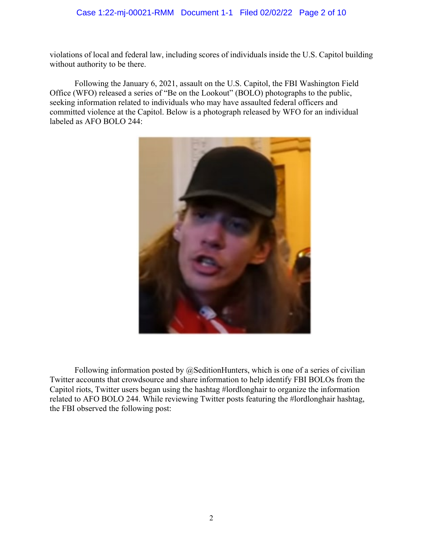## Case 1:22-mj-00021-RMM Document 1-1 Filed 02/02/22 Page 2 of 10

violations of local and federal law, including scores of individuals inside the U.S. Capitol building without authority to be there.

Following the January 6, 2021, assault on the U.S. Capitol, the FBI Washington Field Office (WFO) released a series of "Be on the Lookout" (BOLO) photographs to the public, seeking information related to individuals who may have assaulted federal officers and committed violence at the Capitol. Below is a photograph released by WFO for an individual labeled as AFO BOLO 244:



Following information posted by  $@$ SeditionHunters, which is one of a series of civilian Twitter accounts that crowdsource and share information to help identify FBI BOLOs from the Capitol riots, Twitter users began using the hashtag #lordlonghair to organize the information related to AFO BOLO 244. While reviewing Twitter posts featuring the #lordlonghair hashtag, the FBI observed the following post: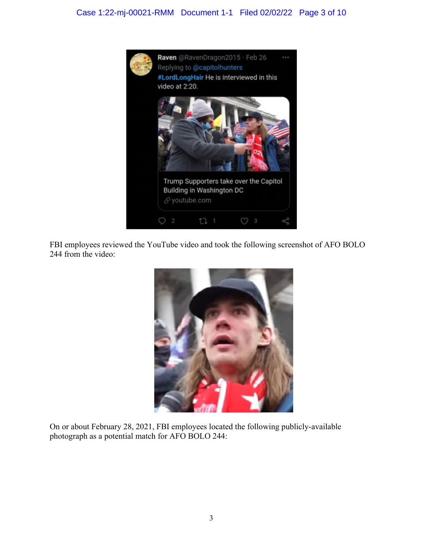## Case 1:22-mj-00021-RMM Document 1-1 Filed 02/02/22 Page 3 of 10



FBI employees reviewed the YouTube video and took the following screenshot of AFO BOLO 244 from the video:



On or about February 28, 2021, FBI employees located the following publicly-available photograph as a potential match for AFO BOLO 244: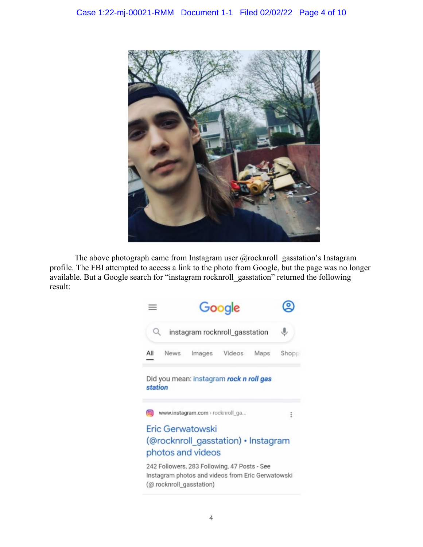

The above photograph came from Instagram user @rocknroll\_gasstation's Instagram profile. The FBI attempted to access a link to the photo from Google, but the page was no longer available. But a Google search for "instagram rocknroll\_gasstation" returned the following result:

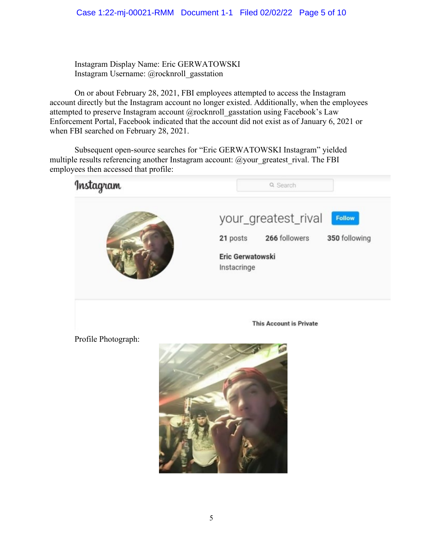Instagram Display Name: Eric GERWATOWSKI Instagram Username: @rocknroll\_gasstation

On or about February 28, 2021, FBI employees attempted to access the Instagram account directly but the Instagram account no longer existed. Additionally, when the employees attempted to preserve Instagram account @rocknroll\_gasstation using Facebook's Law Enforcement Portal, Facebook indicated that the account did not exist as of January 6, 2021 or when FBI searched on February 28, 2021.

Subsequent open-source searches for "Eric GERWATOWSKI Instagram" yielded multiple results referencing another Instagram account: @your\_greatest\_rival. The FBI employees then accessed that profile:



Profile Photograph:

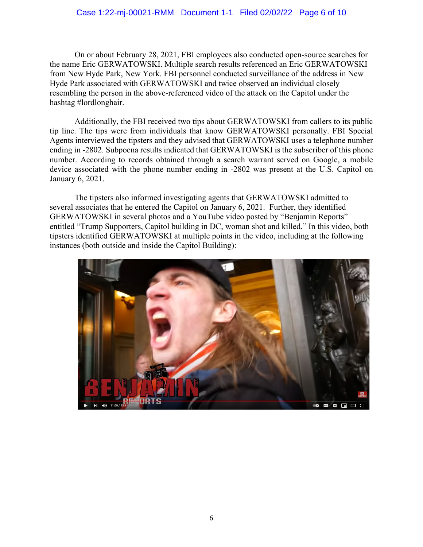## Case 1:22-mj-00021-RMM Document 1-1 Filed 02/02/22 Page 6 of 10

On or about February 28, 2021, FBI employees also conducted open-source searches for the name Eric GERWATOWSKI. Multiple search results referenced an Eric GERWATOWSKI from New Hyde Park, New York. FBI personnel conducted surveillance of the address in New Hyde Park associated with GERWATOWSKI and twice observed an individual closely resembling the person in the above-referenced video of the attack on the Capitol under the hashtag #lordlonghair.

Additionally, the FBI received two tips about GERWATOWSKI from callers to its public tip line. The tips were from individuals that know GERWATOWSKI personally. FBI Special Agents interviewed the tipsters and they advised that GERWATOWSKI uses a telephone number ending in -2802. Subpoena results indicated that GERWATOWSKI is the subscriber of this phone number. According to records obtained through a search warrant served on Google, a mobile device associated with the phone number ending in -2802 was present at the U.S. Capitol on January 6, 2021.

The tipsters also informed investigating agents that GERWATOWSKI admitted to several associates that he entered the Capitol on January 6, 2021. Further, they identified GERWATOWSKI in several photos and a YouTube video posted by "Benjamin Reports" entitled "Trump Supporters, Capitol building in DC, woman shot and killed." In this video, both tipsters identified GERWATOWSKI at multiple points in the video, including at the following instances (both outside and inside the Capitol Building):

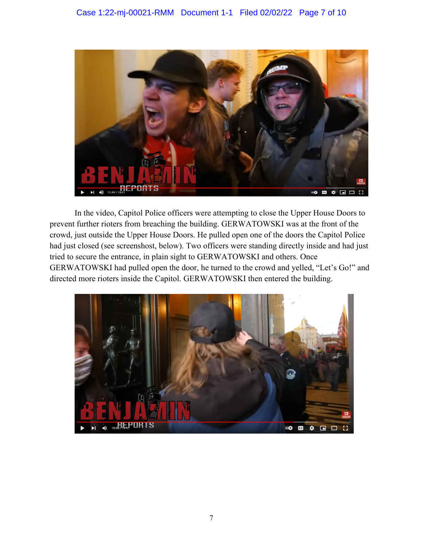

In the video, Capitol Police officers were attempting to close the Upper House Doors to prevent further rioters from breaching the building. GERWATOWSKI was at the front of the crowd, just outside the Upper House Doors. He pulled open one of the doors the Capitol Police had just closed (see screenshost, below). Two officers were standing directly inside and had just tried to secure the entrance, in plain sight to GERWATOWSKI and others. Once GERWATOWSKI had pulled open the door, he turned to the crowd and yelled, "Let's Go!" and directed more rioters inside the Capitol. GERWATOWSKI then entered the building.

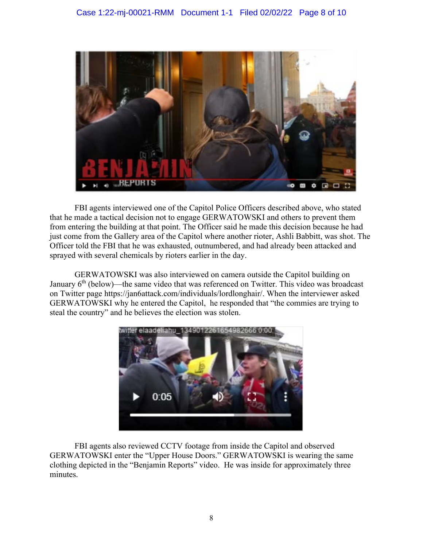

FBI agents interviewed one of the Capitol Police Officers described above, who stated that he made a tactical decision not to engage GERWATOWSKI and others to prevent them from entering the building at that point. The Officer said he made this decision because he had just come from the Gallery area of the Capitol where another rioter, Ashli Babbitt, was shot. The Officer told the FBI that he was exhausted, outnumbered, and had already been attacked and sprayed with several chemicals by rioters earlier in the day.

GERWATOWSKI was also interviewed on camera outside the Capitol building on January  $6<sup>th</sup>$  (below)—the same video that was referenced on Twitter. This video was broadcast on Twitter page https://jan6attack.com/individuals/lordlonghair/. When the interviewer asked GERWATOWSKI why he entered the Capitol, he responded that "the commies are trying to steal the country" and he believes the election was stolen.



FBI agents also reviewed CCTV footage from inside the Capitol and observed GERWATOWSKI enter the "Upper House Doors." GERWATOWSKI is wearing the same clothing depicted in the "Benjamin Reports" video. He was inside for approximately three minutes.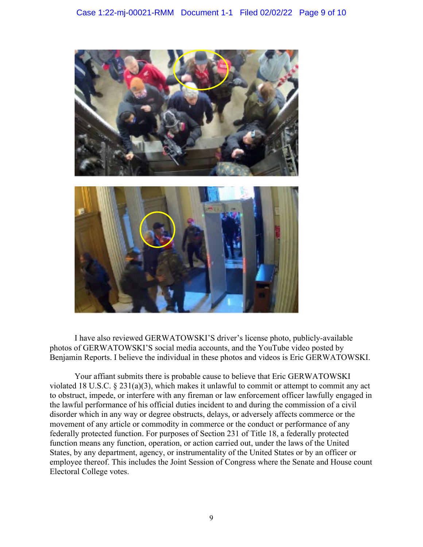

I have also reviewed GERWATOWSKI'S driver's license photo, publicly-available photos of GERWATOWSKI'S social media accounts, and the YouTube video posted by Benjamin Reports. I believe the individual in these photos and videos is Eric GERWATOWSKI.

Your affiant submits there is probable cause to believe that Eric GERWATOWSKI violated 18 U.S.C. § 231(a)(3), which makes it unlawful to commit or attempt to commit any act to obstruct, impede, or interfere with any fireman or law enforcement officer lawfully engaged in the lawful performance of his official duties incident to and during the commission of a civil disorder which in any way or degree obstructs, delays, or adversely affects commerce or the movement of any article or commodity in commerce or the conduct or performance of any federally protected function. For purposes of Section 231 of Title 18, a federally protected function means any function, operation, or action carried out, under the laws of the United States, by any department, agency, or instrumentality of the United States or by an officer or employee thereof. This includes the Joint Session of Congress where the Senate and House count Electoral College votes.